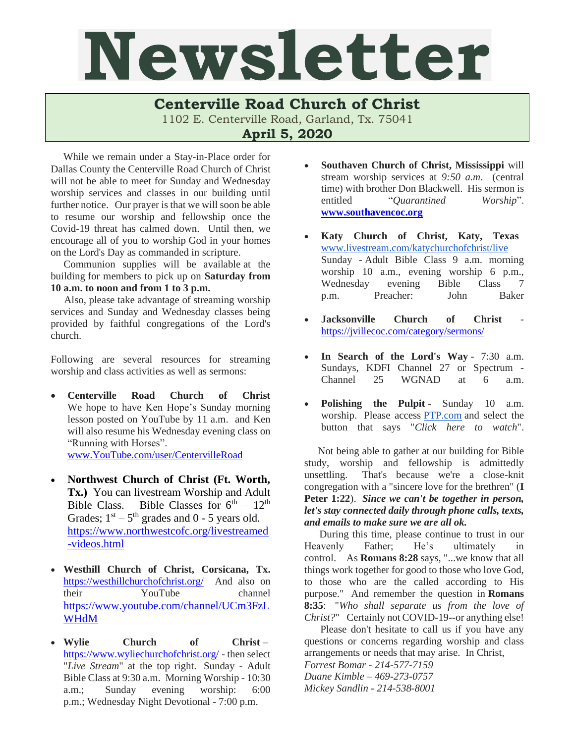## Newsletter

## **Centerville Road Church of Christ**

1102 E. Centerville Road, Garland, Tx. 75041

**April 5, 2020**

While we remain under a Stay-in-Place order for Dallas County the Centerville Road Church of Christ will not be able to meet for Sunday and Wednesday worship services and classes in our building until further notice. Our prayer is that we will soon be able to resume our worship and fellowship once the Covid-19 threat has calmed down. Until then, we encourage all of you to worship God in your homes on the Lord's Day as commanded in scripture.

 Communion supplies will be available at the building for members to pick up on **Saturday from 10 a.m. to noon and from 1 to 3 p.m.**

Also, please take advantage of streaming worship services and Sunday and Wednesday classes being provided by faithful congregations of the Lord's church.

Following are several resources for streaming worship and class activities as well as sermons:

• **Centerville Road Church of Christ** We hope to have Ken Hope's Sunday morning lesson posted on YouTube by 11 a.m. and Ken will also resume his Wednesday evening class on "Running with Horses".

[www.YouTube.com/user/CentervilleRoad](http://www.youtube.com/user/CentervilleRoad)

- **Northwest Church of Christ (Ft. Worth, Tx.)** You can livestream Worship and Adult Bible Class. Bible Classes for  $6<sup>th</sup> - 12<sup>th</sup>$ Grades;  $1<sup>st</sup> - 5<sup>th</sup>$  grades and 0 - 5 years old. [https://www.northwestcofc.org/livestreamed](https://www.northwestcofc.org/livestreamed-videos.html) [-videos.html](https://www.northwestcofc.org/livestreamed-videos.html)
- **Westhill Church of Christ, Corsicana, Tx.** <https://westhillchurchofchrist.org/>And also on their YouTube channel [https://www.youtube.com/channel/UCm3FzL](https://www.youtube.com/channel/UCm3FzLWHdM) **[WHdM](https://www.youtube.com/channel/UCm3FzLWHdM)**
- **Wylie Church of Christ** <https://www.wyliechurchofchrist.org/> - then select "*Live Stream*" at the top right. Sunday - Adult Bible Class at 9:30 a.m. Morning Worship - 10:30 a.m.; Sunday evening worship: 6:00 p.m.; Wednesday Night Devotional - 7:00 p.m.
- **Southaven Church of Christ, Mississippi** will stream worship services at *9:50 a.m*. (central time) with brother Don Blackwell. His sermon is entitled "*Quarantined Worship*". **[www.southavencoc.org](http://www.southavencoc.org/)**
- **Katy Church of Christ, Katy, Texas**  [www.livestream.com/katychurchofchrist/live](http://www.livestream.com/katychurchofchrist/live) Sunday - Adult Bible Class 9 a.m. morning worship 10 a.m., evening worship 6 p.m.,<br>Wednesdav evening Bible Class 7 Wednesday evening Bible Class 7 p.m. Preacher: John Baker
- **Jacksonville Church** of **Christ** <https://jvillecoc.com/category/sermons/>
- **In Search of the Lord's Way** 7:30 a.m. Sundays, KDFI Channel 27 or Spectrum - Channel 25 WGNAD at 6 a.m.
- **Polishing the Pulpit** Sunday 10 a.m. worship. Please access [PTP.com](http://ptp.com/) and select the button that says "*Click here to watch*".

Not being able to gather at our building for Bible study, worship and fellowship is admittedly unsettling. That's because we're a close-knit congregation with a "sincere love for the brethren" (**I Peter 1:22**). *Since we can't be together in person, let's stay connected daily through phone calls, texts, and emails to make sure we are all ok.*

During this time, please continue to trust in our Heavenly Father; He's ultimately in control. As **Romans 8:28** says, "...we know that all things work together for good to those who love God, to those who are the called according to His purpose." And remember the question in **Romans 8:35**: "*Who shall separate us from the love of Christ?*" Certainly not COVID-19--or anything else!

Please don't hesitate to call us if you have any questions or concerns regarding worship and class arrangements or needs that may arise. In Christ,

*Forrest Bomar - 214-577-7159 Duane Kimble – 469-273-0757* 

*Mickey Sandlin - 214-538-8001*